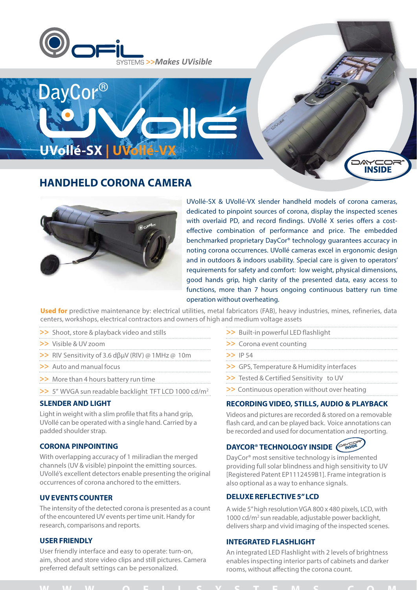



# **HANDHELD CORONA CAMERA**



UVollé-SX & UVollé-VX slender handheld models of corona cameras, dedicated to pinpoint sources of corona, display the inspected scenes with overlaid PD, and record findings. UVollé X series offers a costeffective combination of performance and price. The embedded benchmarked proprietary DayCor® technology guarantees accuracy in noting corona occurrences. UVollé cameras excel in ergonomic design and in outdoors & indoors usability. Special care is given to operators' requirements for safety and comfort: low weight, physical dimensions, good hands grip, high clarity of the presented data, easy access to functions, more than 7 hours ongoing continuous battery run time operation without overheating.

**INSIDE** 

**Used for** predictive maintenance by: electrical utilities, metal fabricators (FAB), heavy industries, mines, refineries, data centers, workshops, electrical contractors and owners of high and medium voltage assets

- >> Shoot, store & playback video and stills
- >> Visible & UV zoom
- >> RIV Sensitivity of 3.6 dβμV (RIV) @ 1MHz @ 10m
- >> Auto and manual focus
- >> More than 4 hours battery run time
- >> 5" WVGA sun readable backlight TFT LCD 1000 cd/m<sup>2</sup>

### **SLENDER AND LIGHT**

Light in weight with a slim profile that fits a hand grip, UVollé can be operated with a single hand. Carried by a padded shoulder strap.

### **CORONA PINPOINTING**

With overlapping accuracy of 1 miliradian the merged channels (UV & visible) pinpoint the emitting sources. UVollé's excellent detectors enable presenting the original occurrences of corona anchored to the emitters.

### **UV EVENTS COUNTER**

The intensity of the detected corona is presented as a count of the encountered UV events per time unit. Handy for research, comparisons and reports.

### **USER FRIENDLY**

User friendly interface and easy to operate: turn-on, aim, shoot and store video clips and still pictures. Camera preferred default settings can be personalized.

- >> Built-in powerful LED flashlight
- >> Corona event counting
- >> IP 54
- >> GPS, Temperature & Humidity interfaces
- >> Tested & Certified Sensitivity to UV
- >> Continuous operation without over heating

### **RECORDING VIDEO, STILLS, AUDIO & PLAYBACK**

Videos and pictures are recorded & stored on a removable flash card, and can be played back. Voice annotations can be recorded and used for documentation and reporting.

## **DAYCOR® TECHNOLOGY INSIDE** (

DayCor® most sensitive technology is implemented providing full solar blindness and high sensitivity to UV [Registered Patent EP1112459B1]. Frame integration is also optional as a way to enhance signals.

### **DELUXE REFLECTIVE 5" LCD**

A wide 5" high resolution VGA 800 x 480 pixels, LCD, with 1000 cd/m2 sun readable, adjustable power backlight, delivers sharp and vivid imaging of the inspected scenes.

### **INTEGRATED FLASHLIGHT**

An integrated LED Flashlight with 2 levels of brightness enables inspecting interior parts of cabinets and darker rooms, without affecting the corona count.

## **WWW OFILSYSTEMS COM**